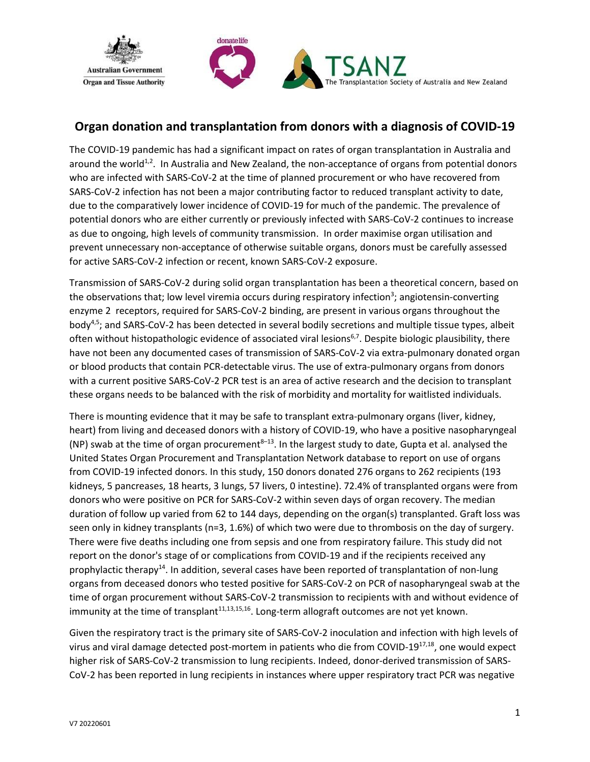

# **Organ donation and transplantation from donors with a diagnosis of COVID-19**

The COVID-19 pandemic has had a significant impact on rates of organ transplantation in Australia and around the world<sup>1,2</sup>. In Australia and New Zealand, the non-acceptance of organs from potential donors who are infected with SARS-CoV-2 at the time of planned procurement or who have recovered from SARS-CoV-2 infection has not been a major contributing factor to reduced transplant activity to date, due to the comparatively lower incidence of COVID-19 for much of the pandemic. The prevalence of potential donors who are either currently or previously infected with SARS-CoV-2 continues to increase as due to ongoing, high levels of community transmission. In order maximise organ utilisation and prevent unnecessary non-acceptance of otherwise suitable organs, donors must be carefully assessed for active SARS-CoV-2 infection or recent, known SARS-CoV-2 exposure.

Transmission of SARS-CoV-2 during solid organ transplantation has been a theoretical concern, based on the observations that; low level viremia occurs during respiratory infection<sup>3</sup>; angiotensin-converting enzyme 2 receptors, required for SARS-CoV-2 binding, are present in various organs throughout the body4,5; and SARS-CoV-2 has been detected in several bodily secretions and multiple tissue types, albeit often without histopathologic evidence of associated viral lesions<sup>6,7</sup>. Despite biologic plausibility, there have not been any documented cases of transmission of SARS-CoV-2 via extra-pulmonary donated organ or blood products that contain PCR-detectable virus. The use of extra-pulmonary organs from donors with a current positive SARS-CoV-2 PCR test is an area of active research and the decision to transplant these organs needs to be balanced with the risk of morbidity and mortality for waitlisted individuals.

There is mounting evidence that it may be safe to transplant extra-pulmonary organs (liver, kidney, heart) from living and deceased donors with a history of COVID-19, who have a positive nasopharyngeal (NP) swab at the time of organ procurement<sup>8-13</sup>. In the largest study to date, Gupta et al. analysed the United States Organ Procurement and Transplantation Network database to report on use of organs from COVID-19 infected donors. In this study, 150 donors donated 276 organs to 262 recipients (193 kidneys, 5 pancreases, 18 hearts, 3 lungs, 57 livers, 0 intestine). 72.4% of transplanted organs were from donors who were positive on PCR for SARS-CoV-2 within seven days of organ recovery. The median duration of follow up varied from 62 to 144 days, depending on the organ(s) transplanted. Graft loss was seen only in kidney transplants (n=3, 1.6%) of which two were due to thrombosis on the day of surgery. There were five deaths including one from sepsis and one from respiratory failure. This study did not report on the donor's stage of or complications from COVID-19 and if the recipients received any prophylactic therapy<sup>14</sup>. In addition, several cases have been reported of transplantation of non-lung organs from deceased donors who tested positive for SARS-CoV-2 on PCR of nasopharyngeal swab at the time of organ procurement without SARS-CoV-2 transmission to recipients with and without evidence of immunity at the time of transplant $^{11,13,15,16}$ . Long-term allograft outcomes are not yet known.

Given the respiratory tract is the primary site of SARS-CoV-2 inoculation and infection with high levels of virus and viral damage detected post-mortem in patients who die from COVID-19<sup>17,18</sup>, one would expect higher risk of SARS-CoV-2 transmission to lung recipients. Indeed, donor-derived transmission of SARS-CoV-2 has been reported in lung recipients in instances where upper respiratory tract PCR was negative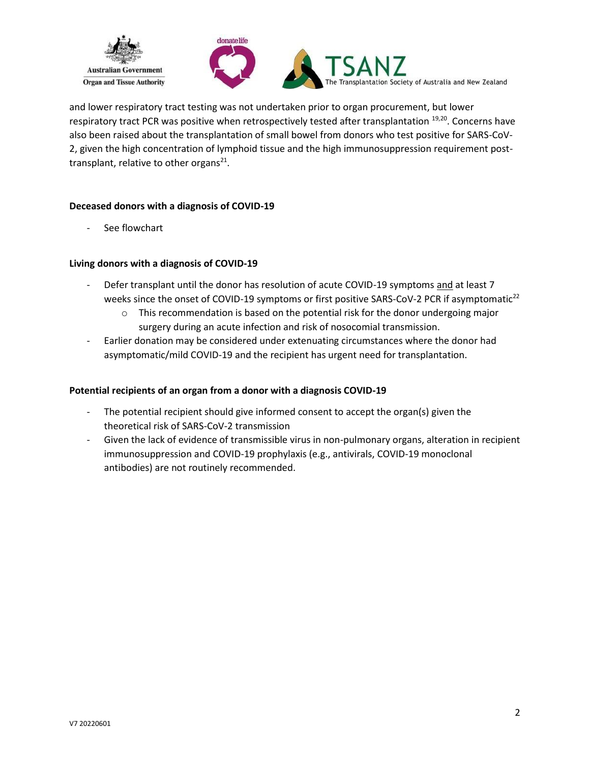



and lower respiratory tract testing was not undertaken prior to organ procurement, but lower respiratory tract PCR was positive when retrospectively tested after transplantation <sup>19,20</sup>. Concerns have also been raised about the transplantation of small bowel from donors who test positive for SARS-CoV-2, given the high concentration of lymphoid tissue and the high immunosuppression requirement posttransplant, relative to other organs<sup>21</sup>.

## **Deceased donors with a diagnosis of COVID-19**

See flowchart

## **Living donors with a diagnosis of COVID-19**

- Defer transplant until the donor has resolution of acute COVID-19 symptoms and at least 7 weeks since the onset of COVID-19 symptoms or first positive SARS-CoV-2 PCR if asymptomatic<sup>22</sup>
	- $\circ$  This recommendation is based on the potential risk for the donor undergoing major surgery during an acute infection and risk of nosocomial transmission.
- Earlier donation may be considered under extenuating circumstances where the donor had asymptomatic/mild COVID-19 and the recipient has urgent need for transplantation.

## **Potential recipients of an organ from a donor with a diagnosis COVID-19**

- The potential recipient should give informed consent to accept the organ(s) given the theoretical risk of SARS-CoV-2 transmission
- Given the lack of evidence of transmissible virus in non-pulmonary organs, alteration in recipient immunosuppression and COVID-19 prophylaxis (e.g., antivirals, COVID-19 monoclonal antibodies) are not routinely recommended.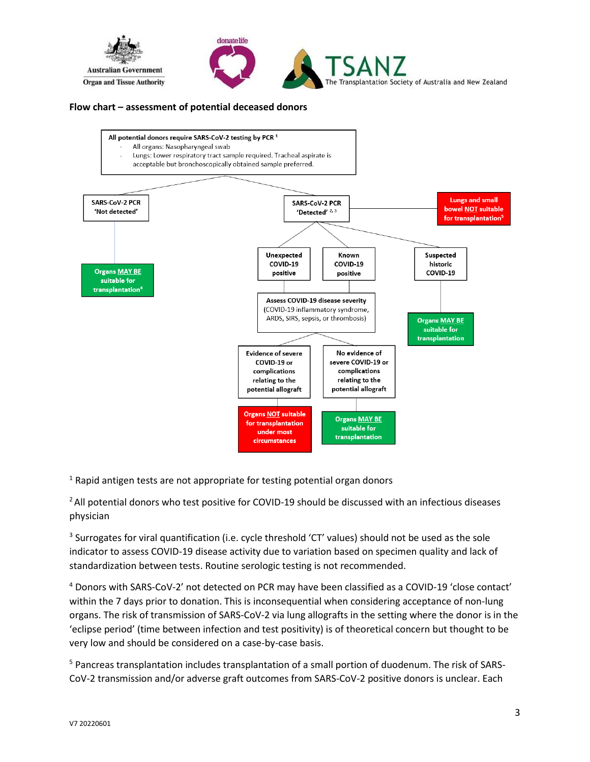

## **Flow chart – assessment of potential deceased donors**



<sup>1</sup> Rapid antigen tests are not appropriate for testing potential organ donors

<sup>2</sup> All potential donors who test positive for COVID-19 should be discussed with an infectious diseases physician

 $3$  Surrogates for viral quantification (i.e. cycle threshold 'CT' values) should not be used as the sole indicator to assess COVID-19 disease activity due to variation based on specimen quality and lack of standardization between tests. Routine serologic testing is not recommended.

<sup>4</sup> Donors with SARS-CoV-2' not detected on PCR may have been classified as a COVID-19 'close contact' within the 7 days prior to donation. This is inconsequential when considering acceptance of non-lung organs. The risk of transmission of SARS-CoV-2 via lung allografts in the setting where the donor is in the 'eclipse period' (time between infection and test positivity) is of theoretical concern but thought to be very low and should be considered on a case-by-case basis.

<sup>5</sup> Pancreas transplantation includes transplantation of a small portion of duodenum. The risk of SARS-CoV-2 transmission and/or adverse graft outcomes from SARS-CoV-2 positive donors is unclear. Each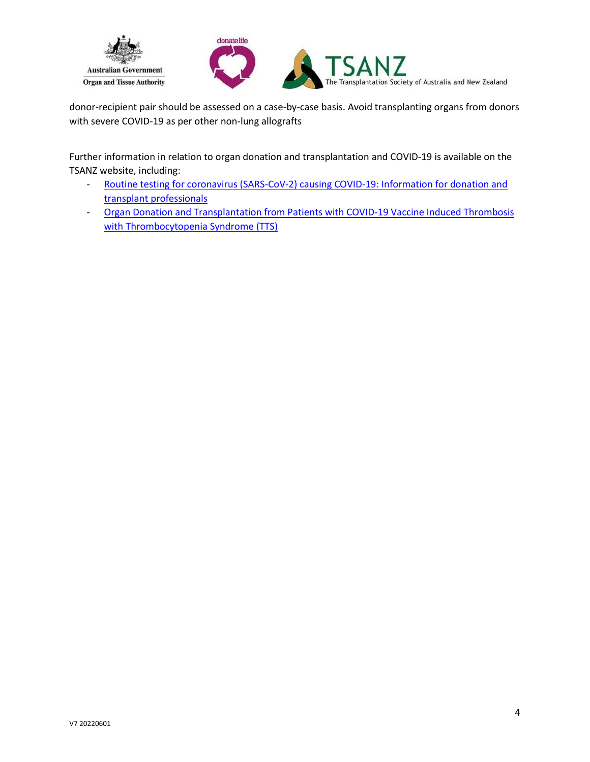

donor-recipient pair should be assessed on a case-by-case basis. Avoid transplanting organs from donors with severe COVID-19 as per other non-lung allografts

Further information in relation to organ donation and transplantation and COVID-19 is available on the TSANZ website, including:

- [Routine testing for coronavirus \(SARS-CoV-2\) causing COVID-19: Information for donation and](https://tsanz.com.au/storage/COVID_Communiques/OTA-TSANZ-COVID_19_Info_for_donation_and_transplantation_prof_Nov-2021_FINAL.pdf)  [transplant professionals](https://tsanz.com.au/storage/COVID_Communiques/OTA-TSANZ-COVID_19_Info_for_donation_and_transplantation_prof_Nov-2021_FINAL.pdf)
- [Organ Donation and Transplantation from Patients with COVID-19 Vaccine Induced Thrombosis](https://tsanz.com.au/storage/COVID_Communiques/03082021_COVID-19-vaccine-induced-TTS-in-potential-organ-donors---updated.pdf)  [with Thrombocytopenia Syndrome \(TTS\)](https://tsanz.com.au/storage/COVID_Communiques/03082021_COVID-19-vaccine-induced-TTS-in-potential-organ-donors---updated.pdf)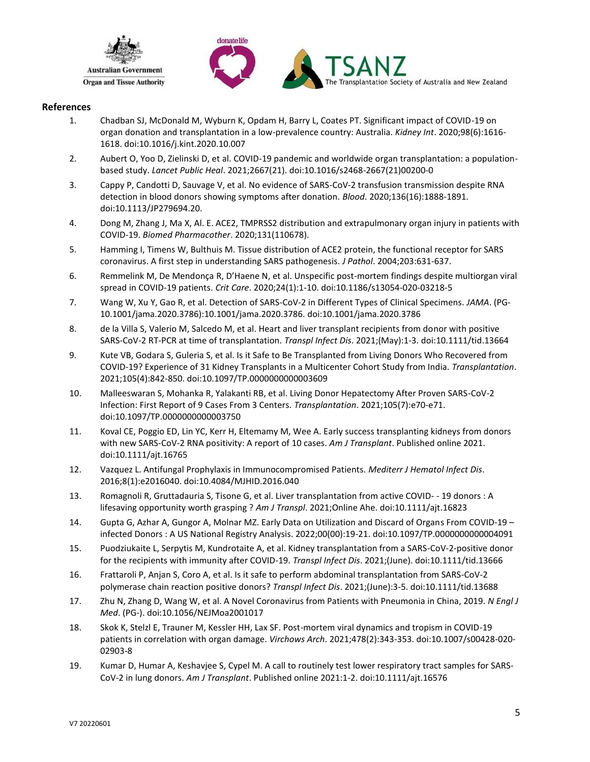



### **References**

- 1. Chadban SJ, McDonald M, Wyburn K, Opdam H, Barry L, Coates PT. Significant impact of COVID-19 on organ donation and transplantation in a low-prevalence country: Australia. *Kidney Int*. 2020;98(6):1616- 1618. doi:10.1016/j.kint.2020.10.007
- 2. Aubert O, Yoo D, Zielinski D, et al. COVID-19 pandemic and worldwide organ transplantation: a populationbased study. *Lancet Public Heal*. 2021;2667(21). doi:10.1016/s2468-2667(21)00200-0
- 3. Cappy P, Candotti D, Sauvage V, et al. No evidence of SARS-CoV-2 transfusion transmission despite RNA detection in blood donors showing symptoms after donation. *Blood*. 2020;136(16):1888-1891. doi:10.1113/JP279694.20.
- 4. Dong M, Zhang J, Ma X, Al. E. ACE2, TMPRSS2 distribution and extrapulmonary organ injury in patients with COVID-19. *Biomed Pharmacother*. 2020;131(110678).
- 5. Hamming I, Timens W, Bulthuis M. Tissue distribution of ACE2 protein, the functional receptor for SARS coronavirus. A first step in understanding SARS pathogenesis. *J Pathol*. 2004;203:631-637.
- 6. Remmelink M, De Mendonça R, D'Haene N, et al. Unspecific post-mortem findings despite multiorgan viral spread in COVID-19 patients. *Crit Care*. 2020;24(1):1-10. doi:10.1186/s13054-020-03218-5
- 7. Wang W, Xu Y, Gao R, et al. Detection of SARS-CoV-2 in Different Types of Clinical Specimens. *JAMA*. (PG-10.1001/jama.2020.3786):10.1001/jama.2020.3786. doi:10.1001/jama.2020.3786
- 8. de la Villa S, Valerio M, Salcedo M, et al. Heart and liver transplant recipients from donor with positive SARS-CoV-2 RT-PCR at time of transplantation. *Transpl Infect Dis*. 2021;(May):1-3. doi:10.1111/tid.13664
- 9. Kute VB, Godara S, Guleria S, et al. Is it Safe to Be Transplanted from Living Donors Who Recovered from COVID-19? Experience of 31 Kidney Transplants in a Multicenter Cohort Study from India. *Transplantation*. 2021;105(4):842-850. doi:10.1097/TP.0000000000003609
- 10. Malleeswaran S, Mohanka R, Yalakanti RB, et al. Living Donor Hepatectomy After Proven SARS-CoV-2 Infection: First Report of 9 Cases From 3 Centers. *Transplantation*. 2021;105(7):e70-e71. doi:10.1097/TP.0000000000003750
- 11. Koval CE, Poggio ED, Lin YC, Kerr H, Eltemamy M, Wee A. Early success transplanting kidneys from donors with new SARS-CoV-2 RNA positivity: A report of 10 cases. *Am J Transplant*. Published online 2021. doi:10.1111/ajt.16765
- 12. Vazquez L. Antifungal Prophylaxis in Immunocompromised Patients. *Mediterr J Hematol Infect Dis*. 2016;8(1):e2016040. doi:10.4084/MJHID.2016.040
- 13. Romagnoli R, Gruttadauria S, Tisone G, et al. Liver transplantation from active COVID- 19 donors : A lifesaving opportunity worth grasping ? *Am J Transpl*. 2021;Online Ahe. doi:10.1111/ajt.16823
- 14. Gupta G, Azhar A, Gungor A, Molnar MZ. Early Data on Utilization and Discard of Organs From COVID-19 infected Donors : A US National Registry Analysis. 2022;00(00):19-21. doi:10.1097/TP.0000000000004091
- 15. Puodziukaite L, Serpytis M, Kundrotaite A, et al. Kidney transplantation from a SARS-CoV-2-positive donor for the recipients with immunity after COVID-19. *Transpl Infect Dis*. 2021;(June). doi:10.1111/tid.13666
- 16. Frattaroli P, Anjan S, Coro A, et al. Is it safe to perform abdominal transplantation from SARS-CoV-2 polymerase chain reaction positive donors? *Transpl Infect Dis*. 2021;(June):3-5. doi:10.1111/tid.13688
- 17. Zhu N, Zhang D, Wang W, et al. A Novel Coronavirus from Patients with Pneumonia in China, 2019. *N Engl J Med*. (PG-). doi:10.1056/NEJMoa2001017
- 18. Skok K, Stelzl E, Trauner M, Kessler HH, Lax SF. Post-mortem viral dynamics and tropism in COVID-19 patients in correlation with organ damage. *Virchows Arch*. 2021;478(2):343-353. doi:10.1007/s00428-020- 02903-8
- 19. Kumar D, Humar A, Keshavjee S, Cypel M. A call to routinely test lower respiratory tract samples for SARS-CoV2 in lung donors. *Am J Transplant*. Published online 2021:1-2. doi:10.1111/ajt.16576